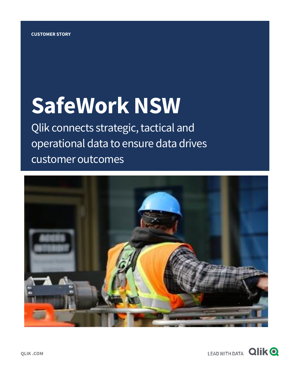# **SafeWork NSW**

Qlik connects strategic, tactical and operational data to ensure data drives customer outcomes



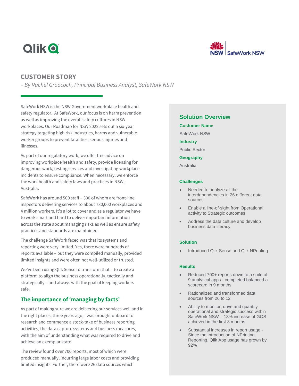# **Qlik O**



# **CUSTOMER STORY**

*– By Rachel Groococh, Principal Business Analyst, SafeWork NSW*

SafeWork NSW is the NSW Government workplace health and safety regulator. At SafeWork, our focus is on harm prevention as well as improving the overall safety cultures in NSW workplaces. Our Roadmap for NSW 2022 sets out a six-year strategy targeting high risk industries, harms and vulnerable worker groups to prevent fatalities, serious injuries and illnesses.

As part of our regulatory work, we offer free advice on improving workplace health and safety, provide licensing for dangerous work, testing services and investigating workplace incidents to ensure compliance. When necessary, we enforce the work health and safety laws and practices in NSW, Australia.

SafeWork has around 500 staff – 300 of whom are front-line inspectors delivering services to about 780,000 workplaces and 4 million workers. It's a lot to cover and as a regulator we have to work smart and hard to deliver important information across the state about managing risks as well as ensure safety practices and standards are maintained.

The challenge SafeWork faced was that its systems and reporting were very limited. Yes, there were hundreds of reports available – but they were compiled manually, provided limited insights and were often not well-utilized or trusted.

We've been using Qlik Sense to transform that – to create a platform to align the business operationally, tactically and strategically – and always with the goal of keeping workers safe.

# **The importance of 'managing by facts'**

As part of making sure we are delivering our services well and in the right places, three years ago, I was brought onboard to research and commence a stock-take of business reporting activities, the data capture systems and business measures, with the aim of understanding what was required to drive and achieve an exemplar state.

The review found over 700 reports, most of which were produced manually, incurring large labor costs and providing limited insights. Further, there were 26 data sources which

# **Solution Overview**

**Customer Name**

SafeWork NSW

**Industry**

Public Sector

**Geography**

Australia

#### **Challenges**

- Needed to analyze all the interdependencies in 26 different data sources
- Enable a line-of-sight from Operational activity to Strategic outcomes
- Address the data culture and develop business data literacy

#### **Solution**

• Introduced Qlik Sense and Qlik NPrinting

#### **Results**

- Reduced 700+ reports down to a suite of 9 analytical apps - completed balanced a scorecard in 9 months
- Rationalized and transformed data sources from 26 to 12
- Ability to monitor, drive and quantify operational and strategic success within SafeWork NSW – 13% increase of GOS achieved in the first 3 months
- Substantial increases in report usage Since the introduction of NPrinting Reporting, Qlik App usage has grown by 92%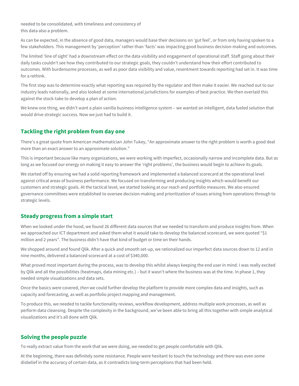needed to be consolidated, with timeliness and consistency of this data also a problem.

As can be expected, in the absence of good data, managers would base their decisions on 'gut feel', or from only having spoken to a few stakeholders. This management by 'perception' rather than 'facts' was impacting good business decision-making and outcomes.

The limited 'line of sight' had a downstream effect on the data visibility and engagement of operational staff. Staff going about their daily tasks couldn't see how they contributed to our strategic goals, they couldn't understand how their effort contributed to outcomes. With burdensome processes, as well as poor data visibility and value, resentment towards reporting had set in. It was time for a rethink.

The first step was to determine exactly what reporting was required by the regulator and then make it easier. We reached out to our industry leads nationally, and also looked at some international jurisdictions for examples of best practice. We then overlaid this against the stock-take to develop a plan of action.

We knew one thing, we didn't want a plain vanilla business intelligence system – we wanted an intelligent, data fueled solution that would drive strategic success. Now we just had to build it.

# **Tackling the right problem from day one**

There's a great quote from American mathematician John Tukey, "An approximate answer to the right problem is worth a good deal more than an exact answer to an approximate solution."

This is important because like many organizations, we were working with imperfect, occasionally narrow and incomplete data. But as long as we focused our energy on making it easy to answer the 'right problems', the business would begin to achieve its goals.

We started off by ensuring we had a solid reporting framework and implemented a balanced scorecard at the operational level against critical areas of business performance. We focused on transforming and producing insights which would benefit our customers and strategic goals. At the tactical level, we started looking at our reach and portfolio measures. We also ensured governance committees were established to oversee decision-making and prioritization of issues arising from operations through to strategic levels.

## **Steady progress from a simple start**

When we looked under the hood, we found 26 different data sources that we needed to transform and produce insights from. When we approached our ICT department and asked them what it would take to develop the balanced scorecard, we were quoted "\$1 million and 2 years". The business didn't have that kind of budget or time on their hands.

We shopped around and found Qlik. After a quick and smooth set-up, we rationalized our imperfect data sources down to 12 and in nine months, delivered a balanced scorecard at a cost of \$340,000.

What proved most important during the process, was to develop this whilst always keeping the end user in mind. I was really excited by Qlik and all the possibilities (heatmaps, data mining etc.) – but it wasn't where the business was at the time. In phase 1, they needed simple visualizations and data sets.

Once the basics were covered, *then* we could further develop the platform to provide more complex data and insights, such as capacity and forecasting, as well as portfolio project mapping and management.

To produce this, we needed to tackle functionality reviews, workflow development, address multiple work processes, as well as perform data cleansing. Despite the complexity in the background, we've been able to bring all this together with simple analytical visualizations and it's all done with Qlik.

## **Solving the people puzzle**

To really extract value from the work that we were doing, we needed to get people comfortable with Qlik.

At the beginning, there was definitely some resistance. People were hesitant to touch the technology and there was even some disbelief in the accuracy of certain data, as it contradicts long-term perceptions that had been held.